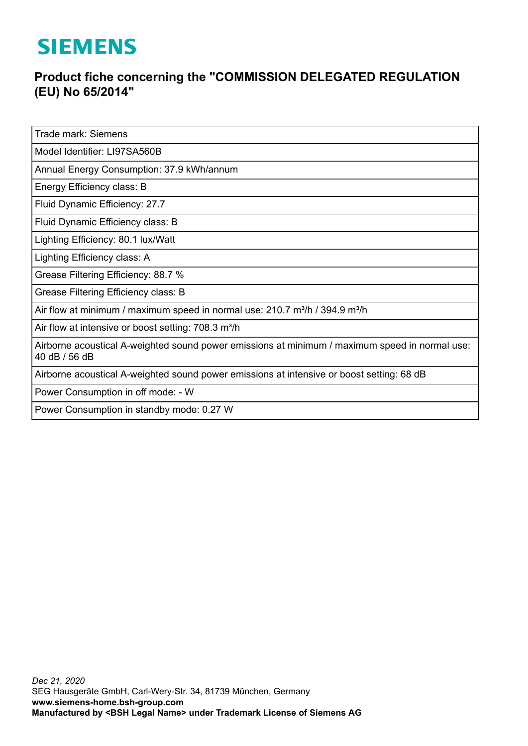## **SIEMENS**

## **Product fiche concerning the "COMMISSION DELEGATED REGULATION (EU) No 65/2014"**

Trade mark: Siemens

Model Identifier: LI97SA560B

Annual Energy Consumption: 37.9 kWh/annum

Energy Efficiency class: B

Fluid Dynamic Efficiency: 27.7

Fluid Dynamic Efficiency class: B

Lighting Efficiency: 80.1 lux/Watt

Lighting Efficiency class: A

Grease Filtering Efficiency: 88.7 %

Grease Filtering Efficiency class: B

Air flow at minimum / maximum speed in normal use:  $210.7$  m $\frac{3}{10}$  / 394.9 m $\frac{3}{10}$ 

Air flow at intensive or boost setting: 708.3 m<sup>3</sup>/h

Airborne acoustical A-weighted sound power emissions at minimum / maximum speed in normal use: 40 dB / 56 dB

Airborne acoustical A-weighted sound power emissions at intensive or boost setting: 68 dB

Power Consumption in off mode: - W

Power Consumption in standby mode: 0.27 W